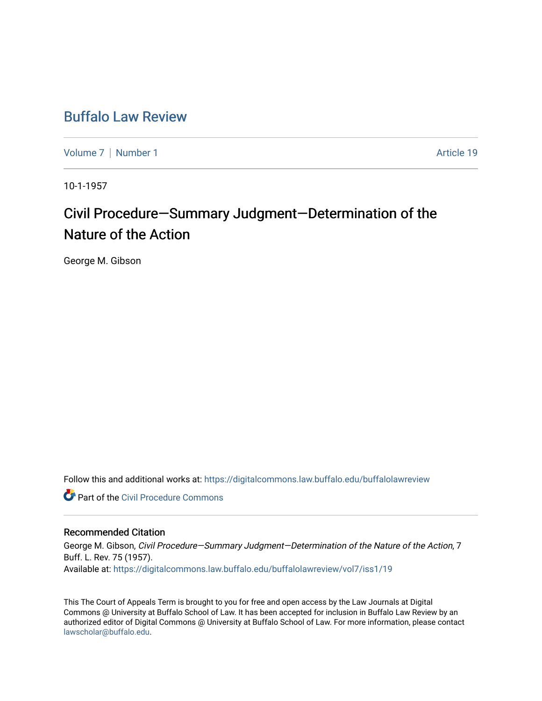## [Buffalo Law Review](https://digitalcommons.law.buffalo.edu/buffalolawreview)

[Volume 7](https://digitalcommons.law.buffalo.edu/buffalolawreview/vol7) | [Number 1](https://digitalcommons.law.buffalo.edu/buffalolawreview/vol7/iss1) Article 19

10-1-1957

# Civil Procedure—Summary Judgment—Determination of the Nature of the Action

George M. Gibson

Follow this and additional works at: [https://digitalcommons.law.buffalo.edu/buffalolawreview](https://digitalcommons.law.buffalo.edu/buffalolawreview?utm_source=digitalcommons.law.buffalo.edu%2Fbuffalolawreview%2Fvol7%2Fiss1%2F19&utm_medium=PDF&utm_campaign=PDFCoverPages) 

**Part of the Civil Procedure Commons** 

### Recommended Citation

George M. Gibson, Civil Procedure—Summary Judgment—Determination of the Nature of the Action, 7 Buff. L. Rev. 75 (1957). Available at: [https://digitalcommons.law.buffalo.edu/buffalolawreview/vol7/iss1/19](https://digitalcommons.law.buffalo.edu/buffalolawreview/vol7/iss1/19?utm_source=digitalcommons.law.buffalo.edu%2Fbuffalolawreview%2Fvol7%2Fiss1%2F19&utm_medium=PDF&utm_campaign=PDFCoverPages) 

This The Court of Appeals Term is brought to you for free and open access by the Law Journals at Digital Commons @ University at Buffalo School of Law. It has been accepted for inclusion in Buffalo Law Review by an authorized editor of Digital Commons @ University at Buffalo School of Law. For more information, please contact [lawscholar@buffalo.edu](mailto:lawscholar@buffalo.edu).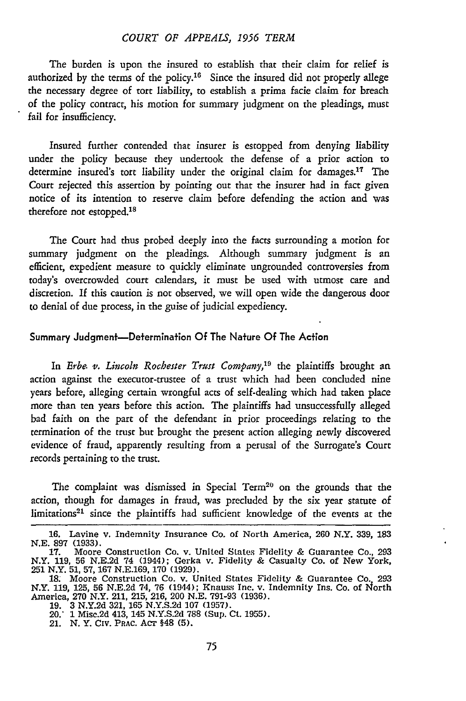#### *COURT OF APPEALS, 1956 TERM*

The burden is upon the insured to establish that their claim for relief is authorized by the terms of the policy.<sup>16</sup> Since the insured did not properly allege the necessary degree of tort liability, to establish a prima facie claim for breach of the policy contract, his motion for summary judgment on the pleadings, must fail for insufficiency.

Insured further contended that insurer is estopped from denying liability under the policy because they undertook the defense of a prior action to determine insured's tort liability under the original claim for damages.17 The Court rejected this assertion **by** pointing **out** that the insurer had in fact given notice of its intention to reserve claim before defending the action and was therefore **not** estopped.'<sup>8</sup>

The Court had thus probed deeply into the facts surrounding a motion for summary judgment on the pleadings. Although summary judgment is an efficient, expedient measure to quickly eliminate ungrounded controversies from today's overcrowded court calendars, it must be used with utmost care and discretion. **If** this caution is not observed, we will open wide the dangerous door to denial of due process, in the guise of judicial expediency.

#### Summary Judgment-Determnation **Of** The Nature **Of** The Action

In *Erbe. v. Lincoln Rochester Trust Company,19* the plaintiffs brought an action against the executor-trustee of a trust which had been concluded nine years before, alleging certain wrongful acts of self-dealing which had taken place more than ten years before this action. The plaintiffs had unsuccessfully alleged bad faith on the part of the defendant in prior proceedings relating to the termination of the trust but brought the present action alleging newly discovered evidence of fraud, apparently resulting from a perusal of the Surrogate's Court records pertaining to the trust.

The complaint was dismissed in Special Term<sup>20</sup> on the grounds that the action, though for damages in fraud, was precluded **by** the six year statute of limitations<sup>21</sup> since the plaintiffs had sufficient knowledge of the events at the

**<sup>16.</sup>** Lavine v. Indemnity Insurance Co. of North America, **260** N.Y. **339, 183 N.E. 897 (1933). 17.** Moore Construction Co. v. United States Fidelity **&** Guarantee Co., **<sup>293</sup>**

N.Y. **119, 56 N.E.2d** 74 (1944); Gerka v. Fidelity **&** Casualty Co. of New York, **251** N.Y. **51, 57, 167 N.E.169, 170 (1929).**

**<sup>18.</sup>** Moore Construction Co. v. United States Fidelity **&** Guarantee Co. **293** N.Y. 119, 125, 56 N.E.2d 74, 76 (1944); Knauss Inc. v. Indemnity Ins. Co. of North<br>America, 270 N.Y. 211, 215, 216, 200 N.E. 791-93 (1936).<br>19. 3 N.Y.2d 321, 165 N.Y.S.2d 107 (1957).<br>20.' 1 Misc.2d 413, 145 N.Y.S.2d 788 (S

<sup>21.</sup> **N.** Y. **CIV.** PRAC. **AcT** §48 **(5).**